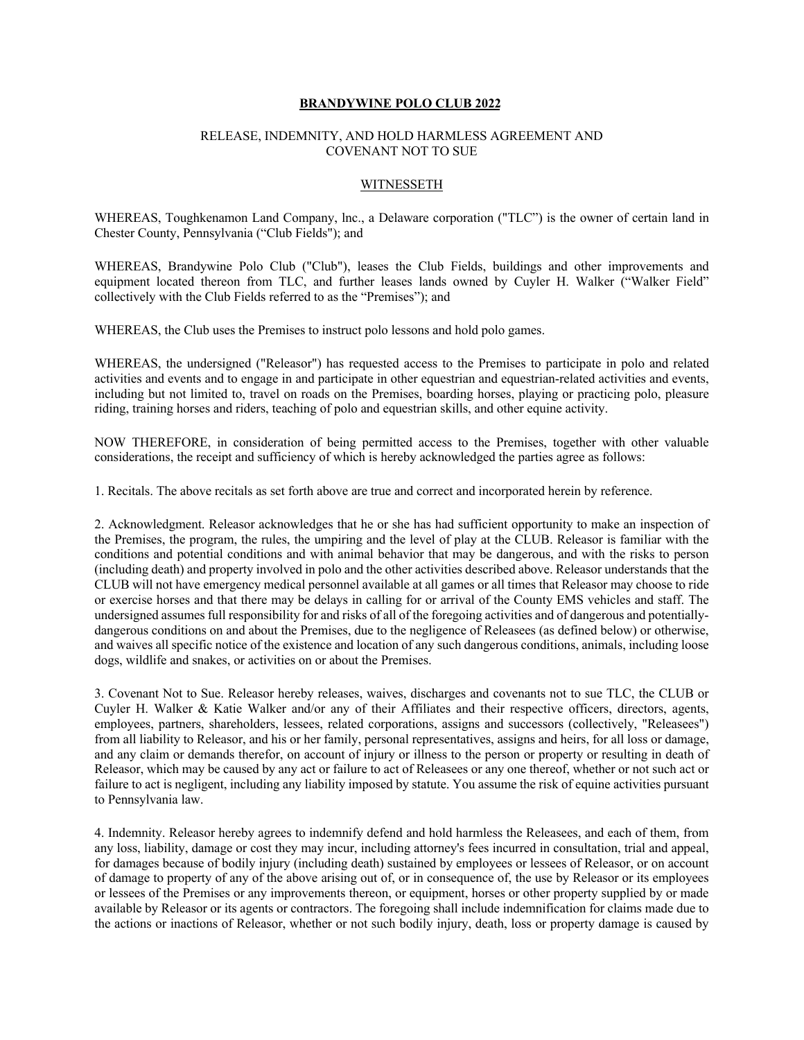## **BRANDYWINE POLO CLUB 2021 BRANDYWINE POLO CLUB 2022**

## RELEASE, INDEMNITY, AND HOLD HARMLESS AGREEMENT AND COVENANT NOT TO SUE

## WITNESSETH

WHEREAS, Toughkenamon Land Company, lnc., a Delaware corporation ("TLC") is the owner of certain land in Chester County, Pennsylvania ("Club Fields"); and

WHEREAS, Brandywine Polo Club ("Club"), leases the Club Fields, buildings and other improvements and equipment located thereon from TLC, and further leases lands owned by Cuyler H. Walker ("Walker Field" collectively with the Club Fields referred to as the "Premises"); and

WHEREAS, the Club uses the Premises to instruct polo lessons and hold polo games.

WHEREAS, the undersigned ("Releasor") has requested access to the Premises to participate in polo and related activities and events and to engage in and participate in other equestrian and equestrian-related activities and events, including but not limited to, travel on roads on the Premises, boarding horses, playing or practicing polo, pleasure riding, training horses and riders, teaching of polo and equestrian skills, and other equine activity.

NOW THEREFORE, in consideration of being permitted access to the Premises, together with other valuable considerations, the receipt and sufficiency of which is hereby acknowledged the parties agree as follows:

1. Recitals. The above recitals as set forth above are true and correct and incorporated herein by reference.

2. Acknowledgment. Releasor acknowledges that he or she has had sufficient opportunity to make an inspection of the Premises, the program, the rules, the umpiring and the level of play at the CLUB. Releasor is familiar with the conditions and potential conditions and with animal behavior that may be dangerous, and with the risks to person (including death) and property involved in polo and the other activities described above. Releasor understands that the CLUB will not have emergency medical personnel available at all games or all times that Releasor may choose to ride or exercise horses and that there may be delays in calling for or arrival of the County EMS vehicles and staff. The undersigned assumes full responsibility for and risks of all of the foregoing activities and of dangerous and potentiallydangerous conditions on and about the Premises, due to the negligence of Releasees (as defined below) or otherwise, and waives all specific notice of the existence and location of any such dangerous conditions, animals, including loose dogs, wildlife and snakes, or activities on or about the Premises.

3. Covenant Not to Sue. Releasor hereby releases, waives, discharges and covenants not to sue TLC, the CLUB or Cuyler H. Walker & Katie Walker and/or any of their Affiliates and their respective officers, directors, agents, employees, partners, shareholders, lessees, related corporations, assigns and successors (collectively, "Releasees") from all liability to Releasor, and his or her family, personal representatives, assigns and heirs, for all loss or damage, and any claim or demands therefor, on account of injury or illness to the person or property or resulting in death of Releasor, which may be caused by any act or failure to act of Releasees or any one thereof, whether or not such act or failure to act is negligent, including any liability imposed by statute. You assume the risk of equine activities pursuant to Pennsylvania law.

4. Indemnity. Releasor hereby agrees to indemnify defend and hold harmless the Releasees, and each of them, from any loss, liability, damage or cost they may incur, including attorney's fees incurred in consultation, trial and appeal, for damages because of bodily injury (including death) sustained by employees or lessees of Releasor, or on account of damage to property of any of the above arising out of, or in consequence of, the use by Releasor or its employees or lessees of the Premises or any improvements thereon, or equipment, horses or other property supplied by or made available by Releasor or its agents or contractors. The foregoing shall include indemnification for claims made due to the actions or inactions of Releasor, whether or not such bodily injury, death, loss or property damage is caused by